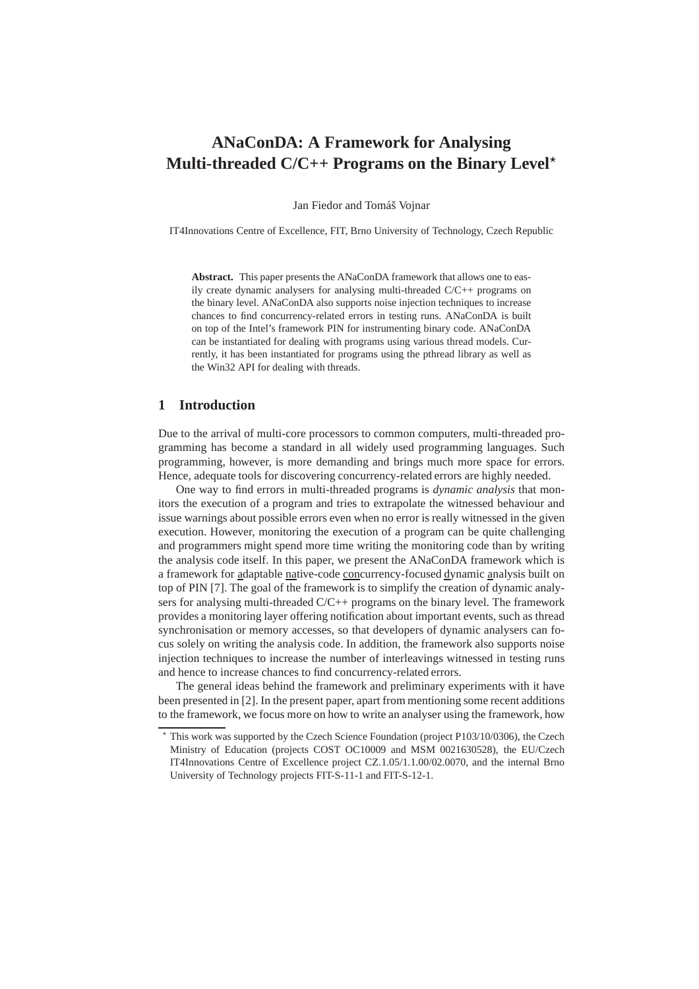# **ANaConDA: A Framework for Analysing** Multi-threaded C/C++ Programs on the Binary Level<sup>\*</sup>

Jan Fiedor and Tomáš Vojnar

IT4Innovations Centre of Excellence, FIT, Brno University of Technology, Czech Republic

**Abstract.** This paper presents the ANaConDA framework that allows one to easily create dynamic analysers for analysing multi-threaded C/C++ programs on the binary level. ANaConDA also supports noise injection techniques to increase chances to find concurrency-related errors in testing runs. ANaConDA is built on top of the Intel's framework PIN for instrumenting binary code. ANaConDA can be instantiated for dealing with programs using various thread models. Currently, it has been instantiated for programs using the pthread library as well as the Win32 API for dealing with threads.

# **1 Introduction**

Due to the arrival of multi-core processors to common computers, multi-threaded programming has become a standard in all widely used programming languages. Such programming, however, is more demanding and brings much more space for errors. Hence, adequate tools for discovering concurrency-related errors are highly needed.

One way to find errors in multi-threaded programs is *dynamic analysis* that monitors the execution of a program and tries to extrapolate the witnessed behaviour and issue warnings about possible errors even when no error is really witnessed in the given execution. However, monitoring the execution of a program can be quite challenging and programmers might spend more time writing the monitoring code than by writing the analysis code itself. In this paper, we present the ANaConDA framework which is a framework for adaptable native-code concurrency-focused dynamic analysis built on top of PIN [7]. The goal of the framework is to simplify the creation of dynamic analysers for analysing multi-threaded C/C++ programs on the binary level. The framework provides a monitoring layer offering notification about important events, such as thread synchronisation or memory accesses, so that developers of dynamic analysers can focus solely on writing the analysis code. In addition, the framework also supports noise injection techniques to increase the number of interleavings witnessed in testing runs and hence to increase chances to find concurrency-related errors.

The general ideas behind the framework and preliminary experiments with it have been presented in [2]. In the present paper, apart from mentioning some recent additions to the framework, we focus more on how to write an analyser using the framework, how

<sup>⋆</sup> This work was supported by the Czech Science Foundation (project P103/10/0306), the Czech Ministry of Education (projects COST OC10009 and MSM 0021630528), the EU/Czech IT4Innovations Centre of Excellence project CZ.1.05/1.1.00/02.0070, and the internal Brno University of Technology projects FIT-S-11-1 and FIT-S-12-1.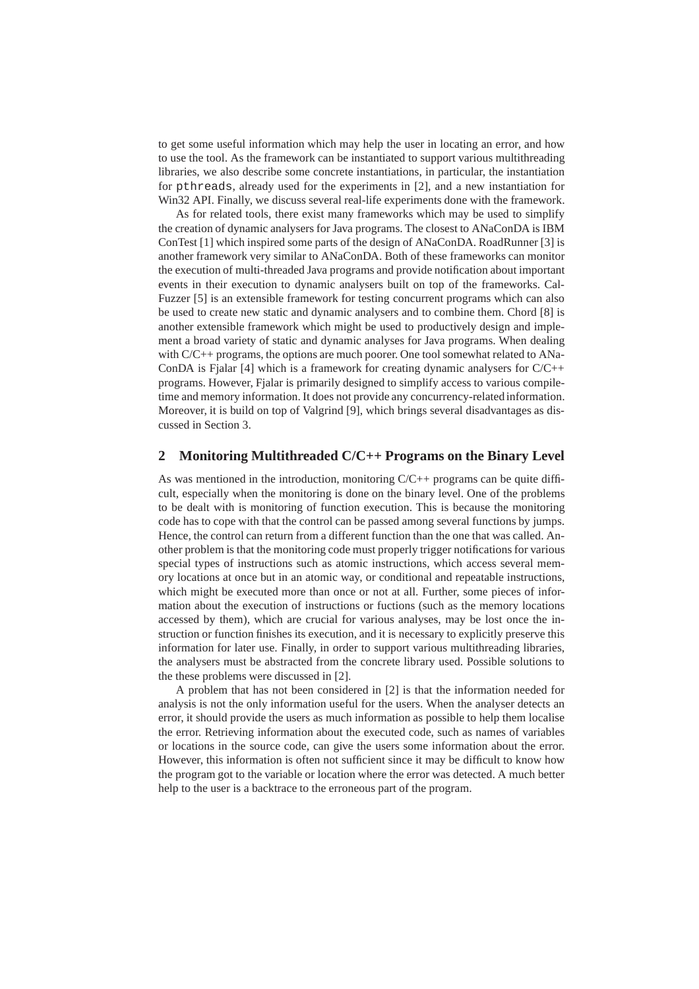to get some useful information which may help the user in locating an error, and how to use the tool. As the framework can be instantiated to support various multithreading libraries, we also describe some concrete instantiations, in particular, the instantiation for pthreads, already used for the experiments in [2], and a new instantiation for Win32 API. Finally, we discuss several real-life experiments done with the framework.

As for related tools, there exist many frameworks which may be used to simplify the creation of dynamic analysers for Java programs. The closest to ANaConDA is IBM ConTest [1] which inspired some parts of the design of ANaConDA. RoadRunner [3] is another framework very similar to ANaConDA. Both of these frameworks can monitor the execution of multi-threaded Java programs and provide notification about important events in their execution to dynamic analysers built on top of the frameworks. Cal-Fuzzer [5] is an extensible framework for testing concurrent programs which can also be used to create new static and dynamic analysers and to combine them. Chord [8] is another extensible framework which might be used to productively design and implement a broad variety of static and dynamic analyses for Java programs. When dealing with C/C++ programs, the options are much poorer. One tool somewhat related to ANa-ConDA is Fialar [4] which is a framework for creating dynamic analysers for  $C/C++$ programs. However, Fjalar is primarily designed to simplify access to various compiletime and memory information. It does not provide any concurrency-related information. Moreover, it is build on top of Valgrind [9], which brings several disadvantages as discussed in Section 3.

## **2 Monitoring Multithreaded C/C++ Programs on the Binary Level**

As was mentioned in the introduction, monitoring C/C++ programs can be quite difficult, especially when the monitoring is done on the binary level. One of the problems to be dealt with is monitoring of function execution. This is because the monitoring code has to cope with that the control can be passed among several functions by jumps. Hence, the control can return from a different function than the one that was called. Another problem is that the monitoring code must properly trigger notifications for various special types of instructions such as atomic instructions, which access several memory locations at once but in an atomic way, or conditional and repeatable instructions, which might be executed more than once or not at all. Further, some pieces of information about the execution of instructions or fuctions (such as the memory locations accessed by them), which are crucial for various analyses, may be lost once the instruction or function finishes its execution, and it is necessary to explicitly preserve this information for later use. Finally, in order to support various multithreading libraries, the analysers must be abstracted from the concrete library used. Possible solutions to the these problems were discussed in [2].

A problem that has not been considered in [2] is that the information needed for analysis is not the only information useful for the users. When the analyser detects an error, it should provide the users as much information as possible to help them localise the error. Retrieving information about the executed code, such as names of variables or locations in the source code, can give the users some information about the error. However, this information is often not sufficient since it may be difficult to know how the program got to the variable or location where the error was detected. A much better help to the user is a backtrace to the erroneous part of the program.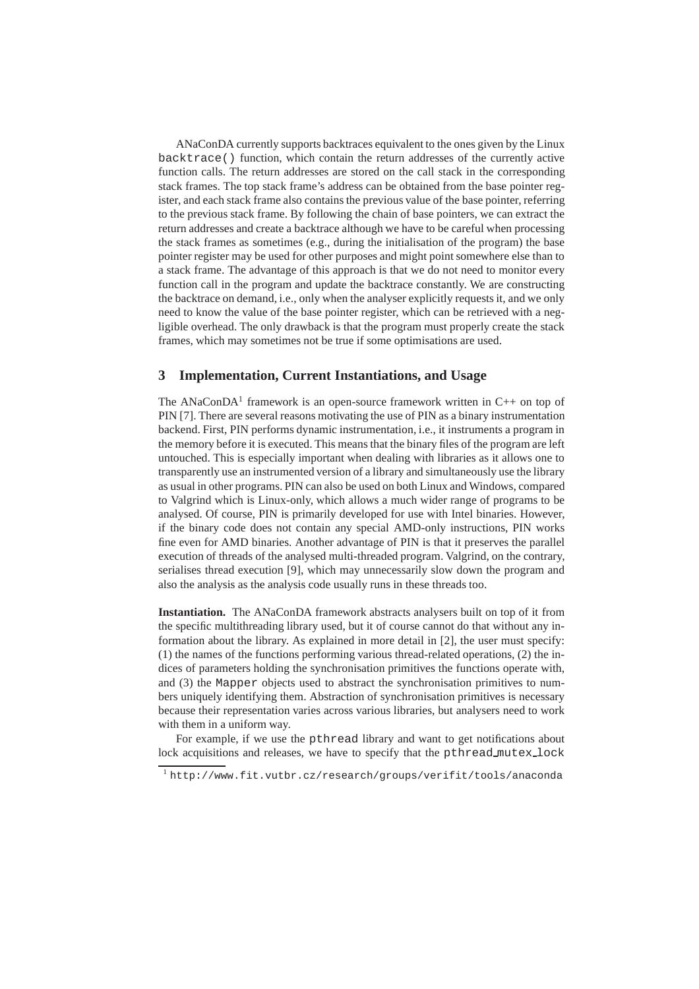ANaConDA currently supports backtraces equivalent to the ones given by the Linux backtrace() function, which contain the return addresses of the currently active function calls. The return addresses are stored on the call stack in the corresponding stack frames. The top stack frame's address can be obtained from the base pointer register, and each stack frame also contains the previous value of the base pointer, referring to the previous stack frame. By following the chain of base pointers, we can extract the return addresses and create a backtrace although we have to be careful when processing the stack frames as sometimes (e.g., during the initialisation of the program) the base pointer register may be used for other purposes and might point somewhere else than to a stack frame. The advantage of this approach is that we do not need to monitor every function call in the program and update the backtrace constantly. We are constructing the backtrace on demand, i.e., only when the analyser explicitly requests it, and we only need to know the value of the base pointer register, which can be retrieved with a negligible overhead. The only drawback is that the program must properly create the stack frames, which may sometimes not be true if some optimisations are used.

### **3 Implementation, Current Instantiations, and Usage**

The ANaConDA<sup>1</sup> framework is an open-source framework written in  $C++$  on top of PIN [7]. There are several reasons motivating the use of PIN as a binary instrumentation backend. First, PIN performs dynamic instrumentation, i.e., it instruments a program in the memory before it is executed. This means that the binary files of the program are left untouched. This is especially important when dealing with libraries as it allows one to transparently use an instrumented version of a library and simultaneously use the library as usual in other programs. PIN can also be used on both Linux and Windows, compared to Valgrind which is Linux-only, which allows a much wider range of programs to be analysed. Of course, PIN is primarily developed for use with Intel binaries. However, if the binary code does not contain any special AMD-only instructions, PIN works fine even for AMD binaries. Another advantage of PIN is that it preserves the parallel execution of threads of the analysed multi-threaded program. Valgrind, on the contrary, serialises thread execution [9], which may unnecessarily slow down the program and also the analysis as the analysis code usually runs in these threads too.

**Instantiation.** The ANaConDA framework abstracts analysers built on top of it from the specific multithreading library used, but it of course cannot do that without any information about the library. As explained in more detail in [2], the user must specify: (1) the names of the functions performing various thread-related operations, (2) the indices of parameters holding the synchronisation primitives the functions operate with, and (3) the Mapper objects used to abstract the synchronisation primitives to numbers uniquely identifying them. Abstraction of synchronisation primitives is necessary because their representation varies across various libraries, but analysers need to work with them in a uniform way.

For example, if we use the pthread library and want to get notifications about lock acquisitions and releases, we have to specify that the pthread mutex lock

<sup>1</sup> http://www.fit.vutbr.cz/research/groups/verifit/tools/anaconda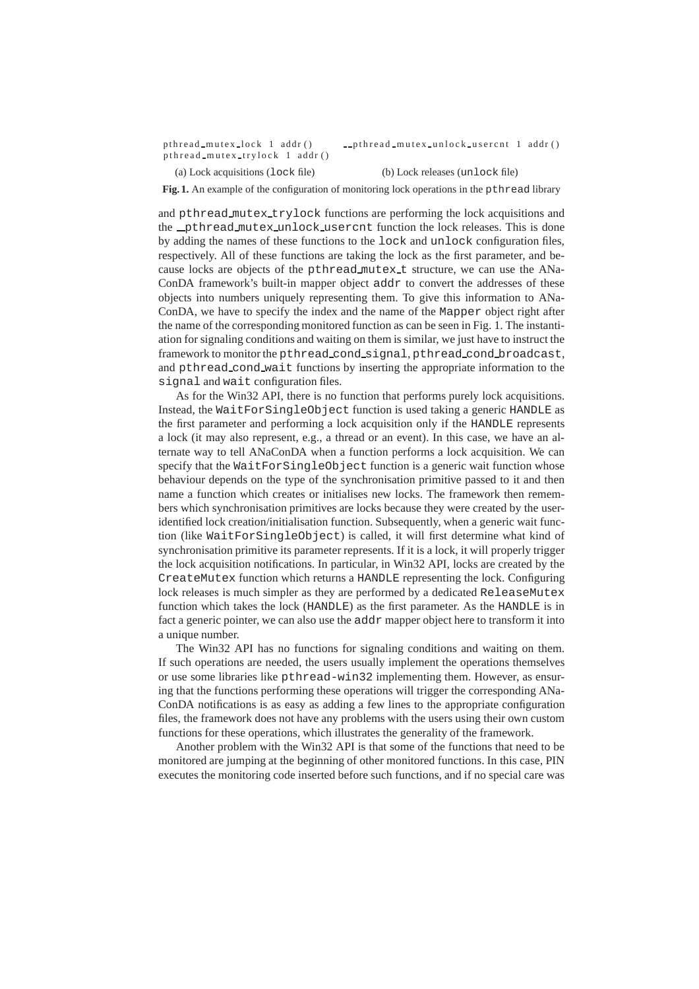p thread\_mutex\_lock 1 addr()  $\n$  p th r e a d \_ m u t e x \_ t r y l o c k \_ 1 addr ()

(a) Lock acquisitions (lock file)

#### (b) Lock releases (unlock file)

Fig. 1. An example of the configuration of monitoring lock operations in the pthread library

and pthread mutex trylock functions are performing the lock acquisitions and the pthread mutex unlock usercnt function the lock releases. This is done by adding the names of these functions to the lock and unlock configuration files, respectively. All of these functions are taking the lock as the first parameter, and because locks are objects of the pthread mutex t structure, we can use the ANa-ConDA framework's built-in mapper object addr to convert the addresses of these objects into numbers uniquely representing them. To give this information to ANa-ConDA, we have to specify the index and the name of the Mapper object right after the name of the corresponding monitored function as can be seen in Fig. 1. The instantiation for signaling conditions and waiting on them is similar, we just have to instruct the framework to monitor the pthread cond signal, pthread cond broadcast, and pthread cond wait functions by inserting the appropriate information to the signal and wait configuration files.

As for the Win32 API, there is no function that performs purely lock acquisitions. Instead, the WaitForSingleObject function is used taking a generic HANDLE as the first parameter and performing a lock acquisition only if the HANDLE represents a lock (it may also represent, e.g., a thread or an event). In this case, we have an alternate way to tell ANaConDA when a function performs a lock acquisition. We can specify that the WaitForSingleObject function is a generic wait function whose behaviour depends on the type of the synchronisation primitive passed to it and then name a function which creates or initialises new locks. The framework then remembers which synchronisation primitives are locks because they were created by the useridentified lock creation/initialisation function. Subsequently, when a generic wait function (like WaitForSingleObject) is called, it will first determine what kind of synchronisation primitive its parameter represents. If it is a lock, it will properly trigger the lock acquisition notifications. In particular, in Win32 API, locks are created by the CreateMutex function which returns a HANDLE representing the lock. Configuring lock releases is much simpler as they are performed by a dedicated ReleaseMutex function which takes the lock (HANDLE) as the first parameter. As the HANDLE is in fact a generic pointer, we can also use the addr mapper object here to transform it into a unique number.

The Win32 API has no functions for signaling conditions and waiting on them. If such operations are needed, the users usually implement the operations themselves or use some libraries like pthread-win32 implementing them. However, as ensuring that the functions performing these operations will trigger the corresponding ANa-ConDA notifications is as easy as adding a few lines to the appropriate configuration files, the framework does not have any problems with the users using their own custom functions for these operations, which illustrates the generality of the framework.

Another problem with the Win32 API is that some of the functions that need to be monitored are jumping at the beginning of other monitored functions. In this case, PIN executes the monitoring code inserted before such functions, and if no special care was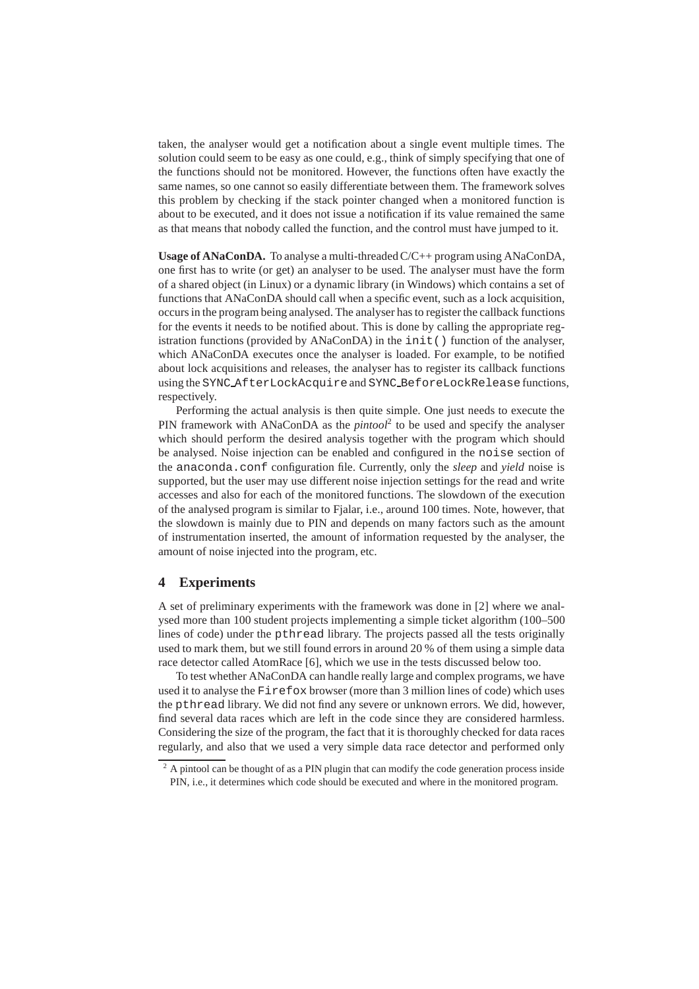taken, the analyser would get a notification about a single event multiple times. The solution could seem to be easy as one could, e.g., think of simply specifying that one of the functions should not be monitored. However, the functions often have exactly the same names, so one cannot so easily differentiate between them. The framework solves this problem by checking if the stack pointer changed when a monitored function is about to be executed, and it does not issue a notification if its value remained the same as that means that nobody called the function, and the control must have jumped to it.

**Usage of ANaConDA.** To analyse a multi-threaded C/C++ program using ANaConDA, one first has to write (or get) an analyser to be used. The analyser must have the form of a shared object (in Linux) or a dynamic library (in Windows) which contains a set of functions that ANaConDA should call when a specific event, such as a lock acquisition, occurs in the program being analysed. The analyser has to register the callback functions for the events it needs to be notified about. This is done by calling the appropriate registration functions (provided by ANaConDA) in the init () function of the analyser, which ANaConDA executes once the analyser is loaded. For example, to be notified about lock acquisitions and releases, the analyser has to register its callback functions using the SYNC AfterLockAcquire and SYNC BeforeLockReleasefunctions, respectively.

Performing the actual analysis is then quite simple. One just needs to execute the PIN framework with  $ANaConDA$  as the *pintool*<sup>2</sup> to be used and specify the analyser which should perform the desired analysis together with the program which should be analysed. Noise injection can be enabled and configured in the noise section of the anaconda.conf configuration file. Currently, only the *sleep* and *yield* noise is supported, but the user may use different noise injection settings for the read and write accesses and also for each of the monitored functions. The slowdown of the execution of the analysed program is similar to Fjalar, i.e., around 100 times. Note, however, that the slowdown is mainly due to PIN and depends on many factors such as the amount of instrumentation inserted, the amount of information requested by the analyser, the amount of noise injected into the program, etc.

### **4 Experiments**

A set of preliminary experiments with the framework was done in [2] where we analysed more than 100 student projects implementing a simple ticket algorithm (100–500 lines of code) under the pthread library. The projects passed all the tests originally used to mark them, but we still found errors in around 20 % of them using a simple data race detector called AtomRace [6], which we use in the tests discussed below too.

To test whether ANaConDA can handle really large and complex programs, we have used it to analyse the Firefox browser (more than 3 million lines of code) which uses the pthread library. We did not find any severe or unknown errors. We did, however, find several data races which are left in the code since they are considered harmless. Considering the size of the program, the fact that it is thoroughly checked for data races regularly, and also that we used a very simple data race detector and performed only

 $2 \text{ A}$  pintool can be thought of as a PIN plugin that can modify the code generation process inside PIN, i.e., it determines which code should be executed and where in the monitored program.